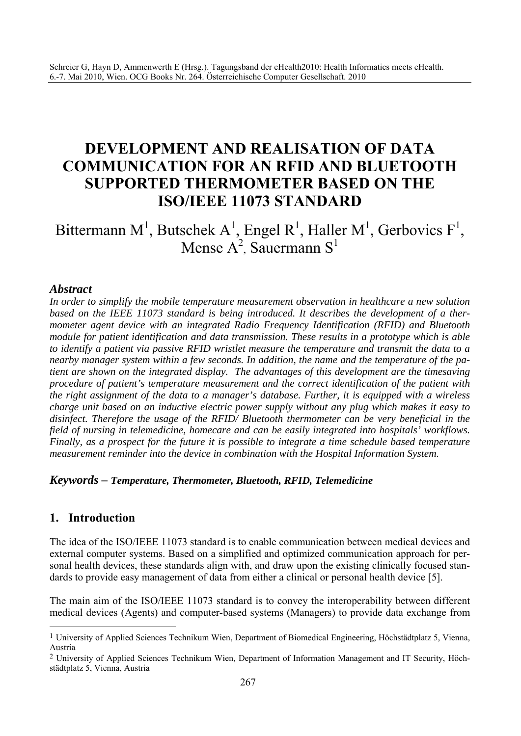# **DEVELOPMENT AND REALISATION OF DATA COMMUNICATION FOR AN RFID AND BLUETOOTH SUPPORTED THERMOMETER BASED ON THE ISO/IEEE 11073 STANDARD**

Bittermann M<sup>1</sup>, Butschek A<sup>1</sup>, Engel R<sup>1</sup>, Haller M<sup>1</sup>, Gerbovics F<sup>1</sup>, Mense  $A^2$ , Sauermann S<sup>1</sup>

#### *Abstract*

*In order to simplify the mobile temperature measurement observation in healthcare a new solution based on the IEEE 11073 standard is being introduced. It describes the development of a thermometer agent device with an integrated Radio Frequency Identification (RFID) and Bluetooth module for patient identification and data transmission. These results in a prototype which is able to identify a patient via passive RFID wristlet measure the temperature and transmit the data to a nearby manager system within a few seconds. In addition, the name and the temperature of the patient are shown on the integrated display. The advantages of this development are the timesaving procedure of patient's temperature measurement and the correct identification of the patient with the right assignment of the data to a manager's database. Further, it is equipped with a wireless charge unit based on an inductive electric power supply without any plug which makes it easy to disinfect. Therefore the usage of the RFID/ Bluetooth thermometer can be very beneficial in the field of nursing in telemedicine, homecare and can be easily integrated into hospitals' workflows. Finally, as a prospect for the future it is possible to integrate a time schedule based temperature measurement reminder into the device in combination with the Hospital Information System.* 

#### *Keywords – Temperature, Thermometer, Bluetooth, RFID, Telemedicine*

## **1. Introduction**

 $\overline{a}$ 

The idea of the ISO/IEEE 11073 standard is to enable communication between medical devices and external computer systems. Based on a simplified and optimized communication approach for personal health devices, these standards align with, and draw upon the existing clinically focused standards to provide easy management of data from either a clinical or personal health device [5].

The main aim of the ISO/IEEE 11073 standard is to convey the interoperability between different medical devices (Agents) and computer-based systems (Managers) to provide data exchange from

<sup>1</sup> University of Applied Sciences Technikum Wien, Department of Biomedical Engineering, Höchstädtplatz 5, Vienna, Austria

<sup>2</sup> University of Applied Sciences Technikum Wien, Department of Information Management and IT Security, Höchstädtplatz 5, Vienna, Austria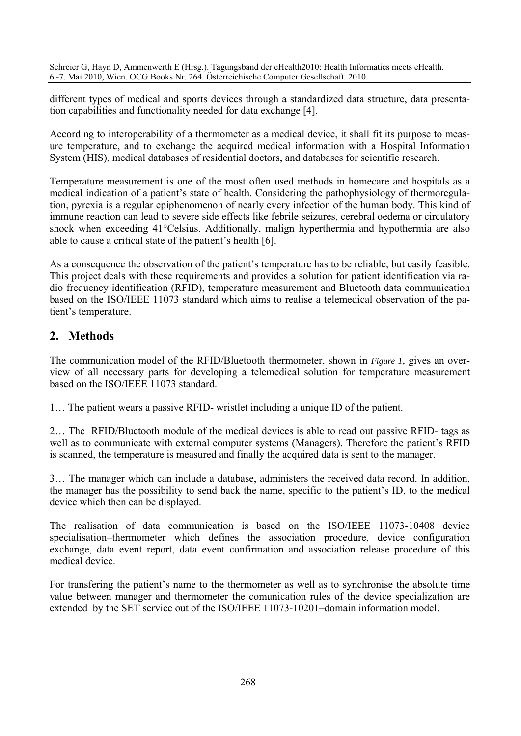different types of medical and sports devices through a standardized data structure, data presentation capabilities and functionality needed for data exchange [4].

According to interoperability of a thermometer as a medical device, it shall fit its purpose to measure temperature, and to exchange the acquired medical information with a Hospital Information System (HIS), medical databases of residential doctors, and databases for scientific research.

Temperature measurement is one of the most often used methods in homecare and hospitals as a medical indication of a patient's state of health. Considering the pathophysiology of thermoregulation, pyrexia is a regular epiphenomenon of nearly every infection of the human body. This kind of immune reaction can lead to severe side effects like febrile seizures, cerebral oedema or circulatory shock when exceeding 41°Celsius. Additionally, malign hyperthermia and hypothermia are also able to cause a critical state of the patient's health [6].

As a consequence the observation of the patient's temperature has to be reliable, but easily feasible. This project deals with these requirements and provides a solution for patient identification via radio frequency identification (RFID), temperature measurement and Bluetooth data communication based on the ISO/IEEE 11073 standard which aims to realise a telemedical observation of the patient's temperature.

# **2. Methods**

The communication model of the RFID/Bluetooth thermometer, shown in *Figure 1,* gives an overview of all necessary parts for developing a telemedical solution for temperature measurement based on the ISO/IEEE 11073 standard.

1… The patient wears a passive RFID- wristlet including a unique ID of the patient.

2… The RFID/Bluetooth module of the medical devices is able to read out passive RFID- tags as well as to communicate with external computer systems (Managers). Therefore the patient's RFID is scanned, the temperature is measured and finally the acquired data is sent to the manager.

3… The manager which can include a database, administers the received data record. In addition, the manager has the possibility to send back the name, specific to the patient's ID, to the medical device which then can be displayed.

The realisation of data communication is based on the ISO/IEEE 11073-10408 device specialisation–thermometer which defines the association procedure, device configuration exchange, data event report, data event confirmation and association release procedure of this medical device.

For transfering the patient's name to the thermometer as well as to synchronise the absolute time value between manager and thermometer the comunication rules of the device specialization are extended by the SET service out of the ISO/IEEE 11073-10201–domain information model.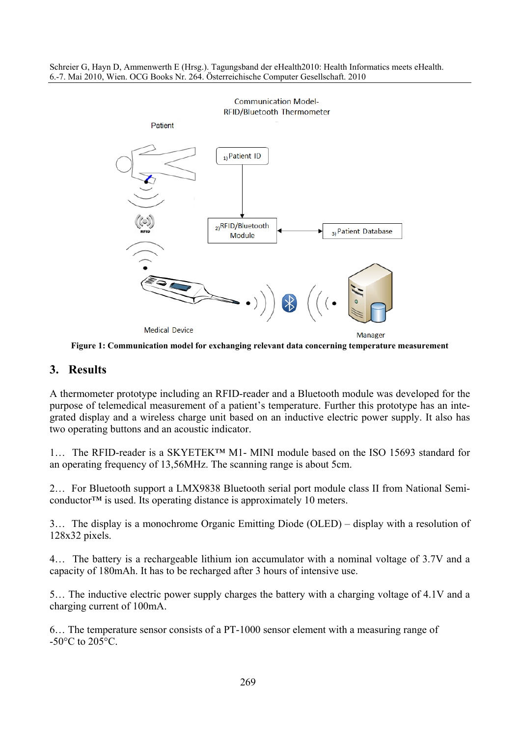

**Figure 1: Communication model for exchanging relevant data concerning temperature measurement** 

## **3. Results**

A thermometer prototype including an RFID-reader and a Bluetooth module was developed for the purpose of telemedical measurement of a patient's temperature. Further this prototype has an integrated display and a wireless charge unit based on an inductive electric power supply. It also has two operating buttons and an acoustic indicator.

1… The RFID-reader is a SKYETEK™ M1- MINI module based on the ISO 15693 standard for an operating frequency of 13,56MHz. The scanning range is about 5cm.

2… For Bluetooth support a LMX9838 Bluetooth serial port module class II from National Semiconductor<sup>™</sup> is used. Its operating distance is approximately 10 meters.

3… The display is a monochrome Organic Emitting Diode (OLED) – display with a resolution of 128x32 pixels.

4… The battery is a rechargeable lithium ion accumulator with a nominal voltage of 3.7V and a capacity of 180mAh. It has to be recharged after 3 hours of intensive use.

5… The inductive electric power supply charges the battery with a charging voltage of 4.1V and a charging current of 100mA.

6… The temperature sensor consists of a PT-1000 sensor element with a measuring range of  $-50^{\circ}$ C to  $205^{\circ}$ C.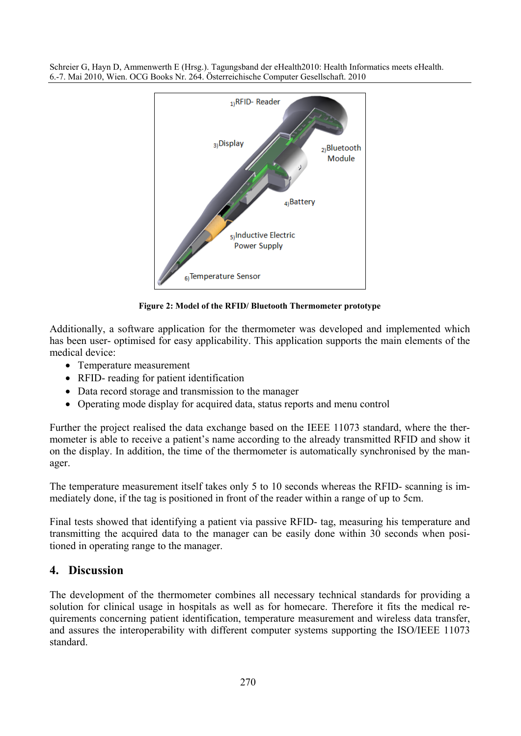

**Figure 2: Model of the RFID/ Bluetooth Thermometer prototype**

Additionally, a software application for the thermometer was developed and implemented which has been user- optimised for easy applicability. This application supports the main elements of the medical device:

- Temperature measurement
- RFID- reading for patient identification
- Data record storage and transmission to the manager
- Operating mode display for acquired data, status reports and menu control

Further the project realised the data exchange based on the IEEE 11073 standard, where the thermometer is able to receive a patient's name according to the already transmitted RFID and show it on the display. In addition, the time of the thermometer is automatically synchronised by the manager.

The temperature measurement itself takes only 5 to 10 seconds whereas the RFID- scanning is immediately done, if the tag is positioned in front of the reader within a range of up to 5cm.

Final tests showed that identifying a patient via passive RFID- tag, measuring his temperature and transmitting the acquired data to the manager can be easily done within 30 seconds when positioned in operating range to the manager.

# **4. Discussion**

The development of the thermometer combines all necessary technical standards for providing a solution for clinical usage in hospitals as well as for homecare. Therefore it fits the medical requirements concerning patient identification, temperature measurement and wireless data transfer, and assures the interoperability with different computer systems supporting the ISO/IEEE 11073 standard.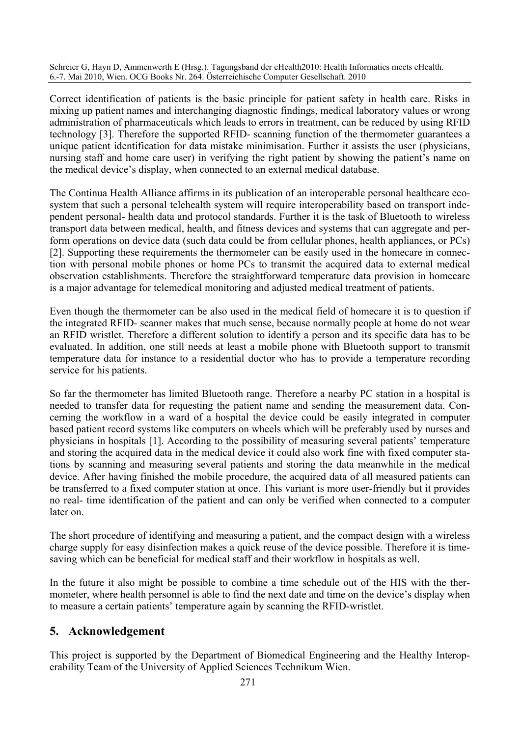Correct identification of patients is the basic principle for patient safety in health care. Risks in mixing up patient names and interchanging diagnostic findings, medical laboratory values or wrong administration of pharmaceuticals which leads to errors in treatment, can be reduced by using RFID technology [3]. Therefore the supported RFID- scanning function of the thermometer guarantees a unique patient identification for data mistake minimisation. Further it assists the user (physicians, nursing staff and home care user) in verifying the right patient by showing the patient's name on the medical device's display, when connected to an external medical database.

The Continua Health Alliance affirms in its publication of an interoperable personal healthcare ecosystem that such a personal telehealth system will require interoperability based on transport independent personal- health data and protocol standards. Further it is the task of Bluetooth to wireless transport data between medical, health, and fitness devices and systems that can aggregate and perform operations on device data (such data could be from cellular phones, health appliances, or PCs) [2]. Supporting these requirements the thermometer can be easily used in the homecare in connection with personal mobile phones or home PCs to transmit the acquired data to external medical observation establishments. Therefore the straightforward temperature data provision in homecare is a major advantage for telemedical monitoring and adjusted medical treatment of patients.

Even though the thermometer can be also used in the medical field of homecare it is to question if the integrated RFID- scanner makes that much sense, because normally people at home do not wear an RFID wristlet. Therefore a different solution to identify a person and its specific data has to be evaluated. In addition, one still needs at least a mobile phone with Bluetooth support to transmit temperature data for instance to a residential doctor who has to provide a temperature recording service for his patients.

So far the thermometer has limited Bluetooth range. Therefore a nearby PC station in a hospital is needed to transfer data for requesting the patient name and sending the measurement data. Concerning the workflow in a ward of a hospital the device could be easily integrated in computer based patient record systems like computers on wheels which will be preferably used by nurses and physicians in hospitals [1]. According to the possibility of measuring several patients' temperature and storing the acquired data in the medical device it could also work fine with fixed computer stations by scanning and measuring several patients and storing the data meanwhile in the medical device. After having finished the mobile procedure, the acquired data of all measured patients can be transferred to a fixed computer station at once. This variant is more user-friendly but it provides no real- time identification of the patient and can only be verified when connected to a computer later on.

The short procedure of identifying and measuring a patient, and the compact design with a wireless charge supply for easy disinfection makes a quick reuse of the device possible. Therefore it is timesaving which can be beneficial for medical staff and their workflow in hospitals as well.

In the future it also might be possible to combine a time schedule out of the HIS with the thermometer, where health personnel is able to find the next date and time on the device's display when to measure a certain patients' temperature again by scanning the RFID-wristlet.

# **5. Acknowledgement**

This project is supported by the Department of Biomedical Engineering and the Healthy Interoperability Team of the University of Applied Sciences Technikum Wien.